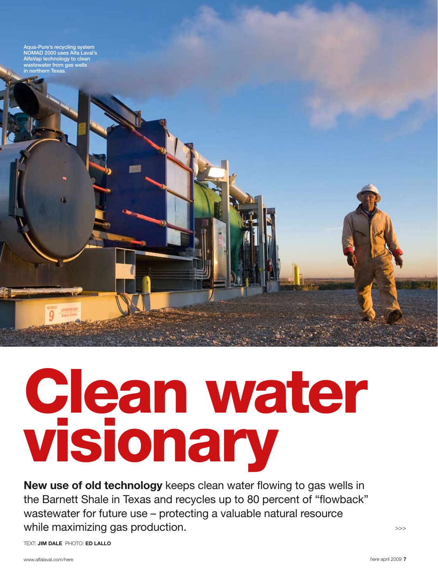Aqua-Pure's recycling system NOMAD 2000 uses Alfa Laval's AlfaVap technology to clean wastewater from gas wells in northern Texas.

Clean water visionary

New use of old technology keeps clean water flowing to gas wells in the Barnett Shale in Texas and recycles up to 80 percent of "flowback" wastewater for future use – protecting a valuable natural resource while maximizing gas production.

TEXT: **JIM DALE** PHOTO: ED LALI O

>>>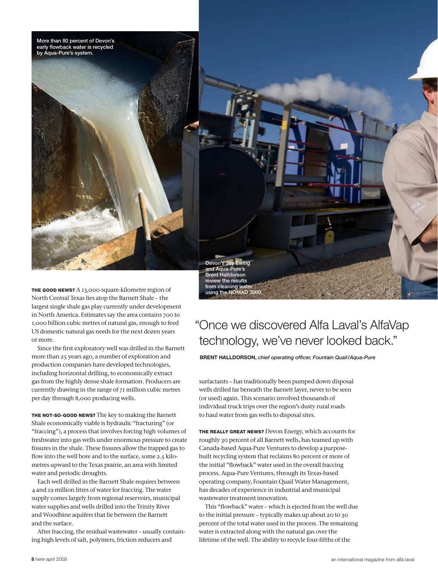

using the NOMAD 2000.

THE GOOD NEWS? A 13,000-square-kilometre region of North Central Texas lies atop the Barnett Shale – the largest single shale gas play currently under development in North America. Estimates say the area contains 700 to 1,000 billion cubic metres of natural gas, enough to feed US domestic natural gas needs for the next dozen years or more.

Since the first exploratory well was drilled in the Barnett more than 25 years ago, a number of exploration and production companies have developed technologies, including horizontal drilling, to economically extract gas from the highly dense shale formation. Producers are currently drawing in the range of 71 million cubic metres per day through 8,000 producing wells.

THE NOT-SO-GOOD NEWS? The key to making the Barnett Shale economically viable is hydraulic "fracturing" (or "fraccing"), a process that involves forcing high volumes of freshwater into gas wells under enormous pressure to create fissures in the shale. These fissures allow the trapped gas to flow into the well bore and to the surface, some 2.5 kilometres upward to the Texas prairie, an area with limited water and periodic droughts.

Each well drilled in the Barnett Shale requires between 4 and 19 million litres of water for fraccing. The water supply comes largely from regional reservoirs, municipal water supplies and wells drilled into the Trinity River and Woodbine aquifers that lie between the Barnett and the surface.

After fraccing, the residual wastewater – usually containing high levels of salt, polymers, friction reducers and

## " Once we discovered Alfa Laval's AlfaVap technology, we've never looked back."

Brent Halldorson, *chief operating officer, Fountain Quail/Aqua-Pure*

surfactants – has traditionally been pumped down disposal wells drilled far beneath the Barnett layer, never to be seen (or used) again. This scenario involved thousands of individual truck trips over the region's dusty rural roads to haul water from gas wells to disposal sites.

The really great news? Devon Energy, which accounts for roughly 30 percent of all Barnett wells, has teamed up with Canada-based Aqua-Pure Ventures to develop a purposebuilt recycling system that reclaims 80 percent or more of the initial "flowback" water used in the overall fraccing process. Aqua-Pure Ventures, through its Texas-based operating company, Fountain Quail Water Management, has decades of experience in industrial and municipal wastewater treatment innovation.

This "flowback" water – which is ejected from the well due to the initial pressure – typically makes up about 20 to 30 percent of the total water used in the process. The remaining water is extracted along with the natural gas over the lifetime of the well. The ability to recycle four-fifths of the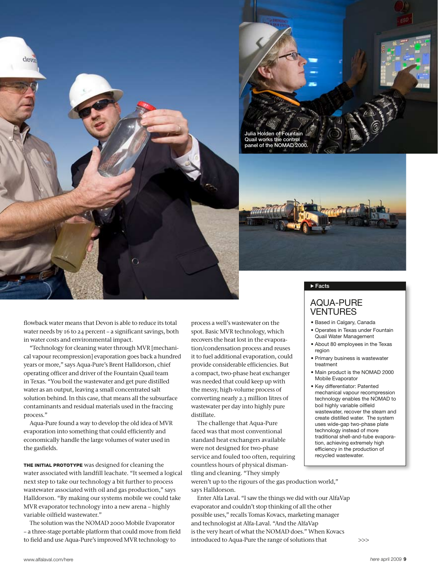



flowback water means that Devon is able to reduce its total water needs by 16 to 24 percent – a significant savings, both in water costs and environmental impact.

"Technology for cleaning water through MVR [mechanical vapour recompression] evaporation goes back a hundred years or more," says Aqua-Pure's Brent Halldorson, chief operating officer and driver of the Fountain Quail team in Texas. "You boil the wastewater and get pure distilled water as an output, leaving a small concentrated salt solution behind. In this case, that means all the subsurface contaminants and residual materials used in the fraccing process."

Aqua-Pure found a way to develop the old idea of MVR evaporation into something that could efficiently and economically handle the large volumes of water used in the gasfields.

THE INITIAL PROTOTYPE was designed for cleaning the water associated with landfill leachate. "It seemed a logical next step to take our technology a bit further to process wastewater associated with oil and gas production," says Halldorson. "By making our systems mobile we could take MVR evaporator technology into a new arena – highly variable oilfield wastewater."

The solution was the NOMAD 2000 Mobile Evaporator – a three-stage portable platform that could move from field to field and use Aqua-Pure's improved MVR technology to

process a well's wastewater on the spot. Basic MVR technology, which recovers the heat lost in the evaporation/condensation process and reuses it to fuel additional evaporation, could provide considerable efficiencies. But a compact, two-phase heat exchanger was needed that could keep up with the messy, high-volume process of converting nearly 2.3 million litres of wastewater per day into highly pure distillate.

The challenge that Aqua-Pure faced was that most conventional standard heat exchangers available were not designed for two-phase service and fouled too often, requiring countless hours of physical dismantling and cleaning. "They simply weren't up to the rigours of the gas production world," says Halldorson.

Enter Alfa Laval. "I saw the things we did with our AlfaVap evaporator and couldn't stop thinking of all the other possible uses," recalls Tomas Kovacs, marketing manager and technologist at Alfa-Laval. "And the AlfaVap is the very heart of what the NOMAD does." When Kovacs introduced to Aqua-Pure the range of solutions that

#### $\blacktriangleright$  Facts

### Aqua-Pure **VENTURES**

- Based in Calgary, Canada
- Operates in Texas under Fountain Quail Water Management
- About 80 employees in the Texas region
- Primary business is wastewater treatment
- Main product is the NOMAD 2000 Mobile Evaporator
- Key differentiator: Patented mechanical vapour recompression technology enables the NOMAD to boil highly variable oilfield wastewater, recover the steam and create distilled water. The system uses wide-gap two-phase plate technology instead of more traditional shell-and-tube evaporation, achieving extremely high efficiency in the production of recycled wastewater.

>>>